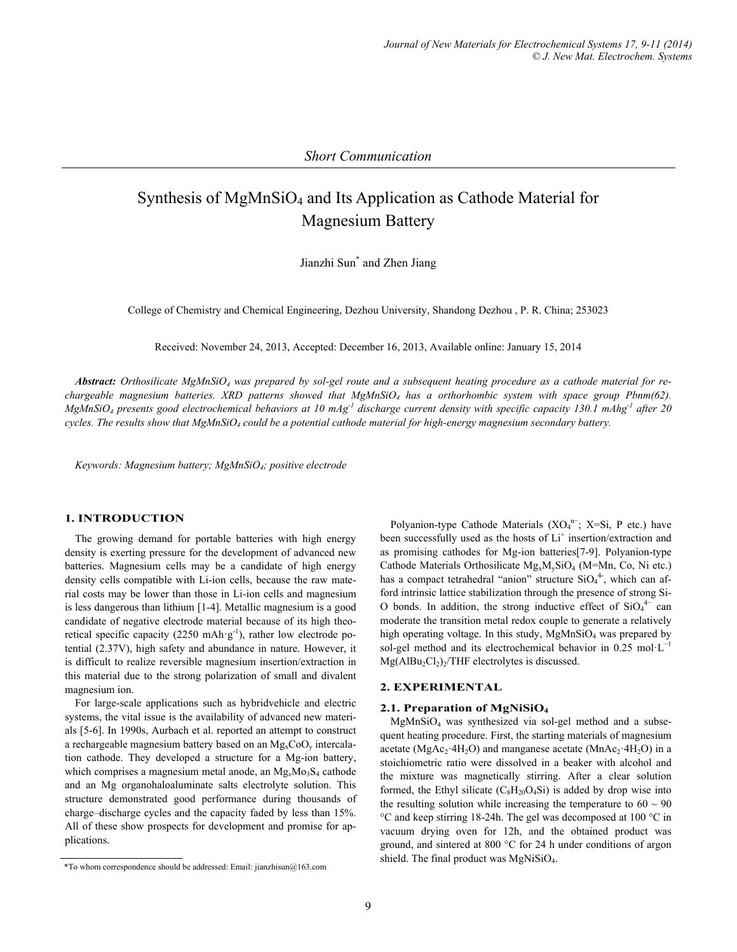*Short Communication* 

# Synthesis of MgMnSiO<sub>4</sub> and Its Application as Cathode Material for Magnesium Battery

Jianzhi Sun\* and Zhen Jiang

College of Chemistry and Chemical Engineering, Dezhou University, Shandong Dezhou , P. R. China; 253023

Received: November 24, 2013, Accepted: December 16, 2013, Available online: January 15, 2014

*Abstract: Orthosilicate MgMnSiO4 was prepared by sol-gel route and a subsequent heating procedure as a cathode material for rechargeable magnesium batteries. XRD patterns showed that MgMnSiO4 has a orthorhombic system with space group Pbnm(62).*   $MgMnSiO<sub>4</sub>$  presents good electrochemical behaviors at 10 mAg<sup>-1</sup> discharge current density with specific capacity 130.1 mAhg<sup>-1</sup> after 20 *cycles. The results show that MgMnSiO4 could be a potential cathode material for high-energy magnesium secondary battery.* 

*Keywords: Magnesium battery; MgMnSiO4; positive electrode* 

#### **1. INTRODUCTION**

The growing demand for portable batteries with high energy density is exerting pressure for the development of advanced new batteries. Magnesium cells may be a candidate of high energy density cells compatible with Li-ion cells, because the raw material costs may be lower than those in Li-ion cells and magnesium is less dangerous than lithium [1-4]. Metallic magnesium is a good candidate of negative electrode material because of its high theoretical specific capacity (2250 mAh·g<sup>-1</sup>), rather low electrode potential (2.37V), high safety and abundance in nature. However, it is difficult to realize reversible magnesium insertion/extraction in this material due to the strong polarization of small and divalent magnesium ion.

For large-scale applications such as hybridvehicle and electric systems, the vital issue is the availability of advanced new materials [5-6]. In 1990s, Aurbach et al. reported an attempt to construct a rechargeable magnesium battery based on an  $Mg<sub>x</sub>CoO<sub>y</sub>$  intercalation cathode. They developed a structure for a Mg-ion battery, which comprises a magnesium metal anode, an Mg<sub>x</sub>Mo<sub>3</sub>S<sub>4</sub> cathode and an Mg organohaloaluminate salts electrolyte solution. This structure demonstrated good performance during thousands of charge–discharge cycles and the capacity faded by less than 15%. All of these show prospects for development and promise for applications.

Polyanion-type Cathode Materials (XO<sub>4</sub><sup>n-</sup>; X=Si, P etc.) have been successfully used as the hosts of Li<sup>+</sup> insertion/extraction and as promising cathodes for Mg-ion batteries[7-9]. Polyanion-type Cathode Materials Orthosilicate  $Mg_xM_vSiO_4$  (M=Mn, Co, Ni etc.) has a compact tetrahedral "anion" structure  $SiO<sub>4</sub><sup>4</sup>$ , which can afford intrinsic lattice stabilization through the presence of strong Si-O bonds. In addition, the strong inductive effect of  $SiO<sub>4</sub><sup>4–</sup>$  can moderate the transition metal redox couple to generate a relatively high operating voltage. In this study,  $MgMnSiO<sub>4</sub>$  was prepared by sol-gel method and its electrochemical behavior in 0.25 mol·L<sup>-1</sup>  $Mg(AlBu<sub>2</sub>Cl<sub>2</sub>)<sub>2</sub>/THF$  electrolytes is discussed.

#### **2. EXPERIMENTAL**

### **2.1. Preparation of MgNiSiO4**

MgMnSiO4 was synthesized via sol-gel method and a subsequent heating procedure. First, the starting materials of magnesium acetate (MgAc<sub>2</sub>·4H<sub>2</sub>O) and manganese acetate (MnAc<sub>2</sub>·4H<sub>2</sub>O) in a stoichiometric ratio were dissolved in a beaker with alcohol and the mixture was magnetically stirring. After a clear solution formed, the Ethyl silicate  $(C_8H_{20}O_4Si)$  is added by drop wise into the resulting solution while increasing the temperature to  $60 \sim 90$ °C and keep stirring 18-24h. The gel was decomposed at 100 °C in vacuum drying oven for 12h, and the obtained product was ground, and sintered at 800 °C for 24 h under conditions of argon

shield. The final product was MgNiSiO4. \*To whom correspondence should be addressed: Email: jianzhisun@163.com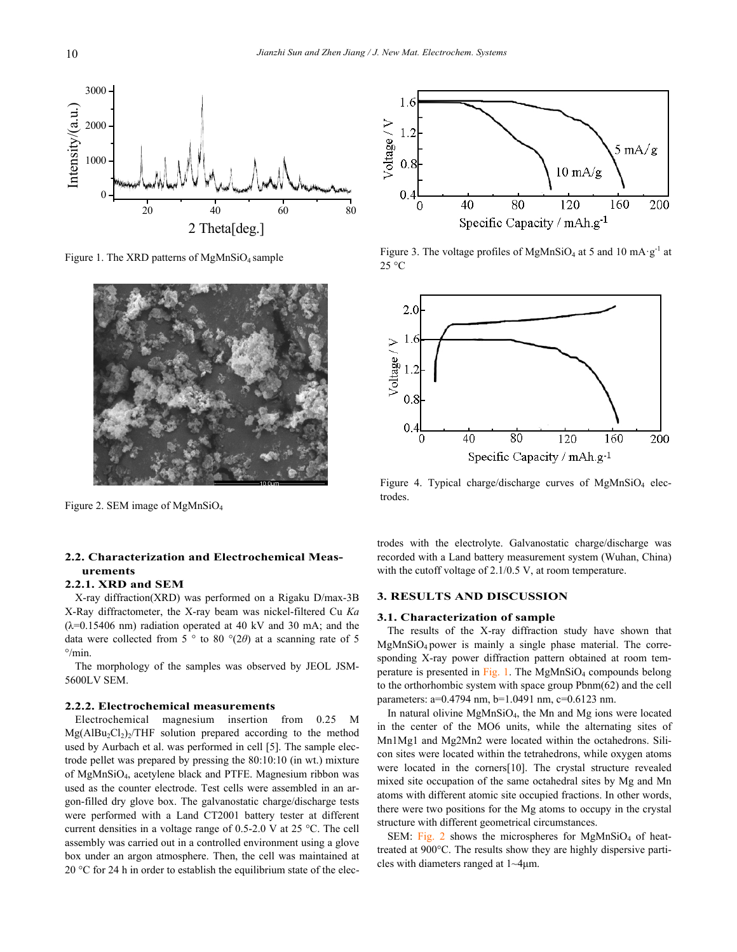

Figure 1. The XRD patterns of MgMnSiO4 sample



Figure 2. SEM image of MgMnSiO4

## **2.2. Characterization and Electrochemical Measurements**

#### **2.2.1. XRD and SEM**

X-ray diffraction(XRD) was performed on a Rigaku D/max-3B X-Ray diffractometer, the X-ray beam was nickel-filtered Cu *Ka*   $(\lambda=0.15406$  nm) radiation operated at 40 kV and 30 mA; and the data were collected from 5 ° to 80 °(2*θ*) at a scanning rate of 5  $\degree$ /min.

The morphology of the samples was observed by JEOL JSM-5600LV SEM.

#### **2.2.2. Electrochemical measurements**

Electrochemical magnesium insertion from 0.25 M  $Mg(AlBu<sub>2</sub>Cl<sub>2</sub>)<sub>2</sub>/THF$  solution prepared according to the method used by Aurbach et al. was performed in cell [5]. The sample electrode pellet was prepared by pressing the 80:10:10 (in wt.) mixture of MgMnSiO4, acetylene black and PTFE. Magnesium ribbon was used as the counter electrode. Test cells were assembled in an argon-filled dry glove box. The galvanostatic charge/discharge tests were performed with a Land CT2001 battery tester at different current densities in a voltage range of 0.5-2.0 V at 25 °C. The cell assembly was carried out in a controlled environment using a glove box under an argon atmosphere. Then, the cell was maintained at 20  $\degree$ C for 24 h in order to establish the equilibrium state of the elec-



Figure 3. The voltage profiles of MgMnSiO<sub>4</sub> at 5 and 10 mA·g<sup>-1</sup> at 25 °C



Figure 4. Typical charge/discharge curves of  $MgMnSiO<sub>4</sub>$  electrodes.

trodes with the electrolyte. Galvanostatic charge/discharge was recorded with a Land battery measurement system (Wuhan, China) with the cutoff voltage of 2.1/0.5 V, at room temperature.

#### **3. RESULTS AND DISCUSSION**

#### **3.1. Characterization of sample**

The results of the X-ray diffraction study have shown that MgMnSiO4 power is mainly a single phase material. The corresponding X-ray power diffraction pattern obtained at room temperature is presented in Fig. 1. The MgMnSiO<sub>4</sub> compounds belong to the orthorhombic system with space group Pbnm(62) and the cell parameters: a=0.4794 nm, b=1.0491 nm, c=0.6123 nm.

In natural olivine MgMnSiO4, the Mn and Mg ions were located in the center of the MO6 units, while the alternating sites of Mn1Mg1 and Mg2Mn2 were located within the octahedrons. Silicon sites were located within the tetrahedrons, while oxygen atoms were located in the corners[10]. The crystal structure revealed mixed site occupation of the same octahedral sites by Mg and Mn atoms with different atomic site occupied fractions. In other words, there were two positions for the Mg atoms to occupy in the crystal structure with different geometrical circumstances.

SEM: Fig. 2 shows the microspheres for  $MgMnSiO<sub>4</sub>$  of heattreated at 900°C. The results show they are highly dispersive particles with diameters ranged at 1~4μm.